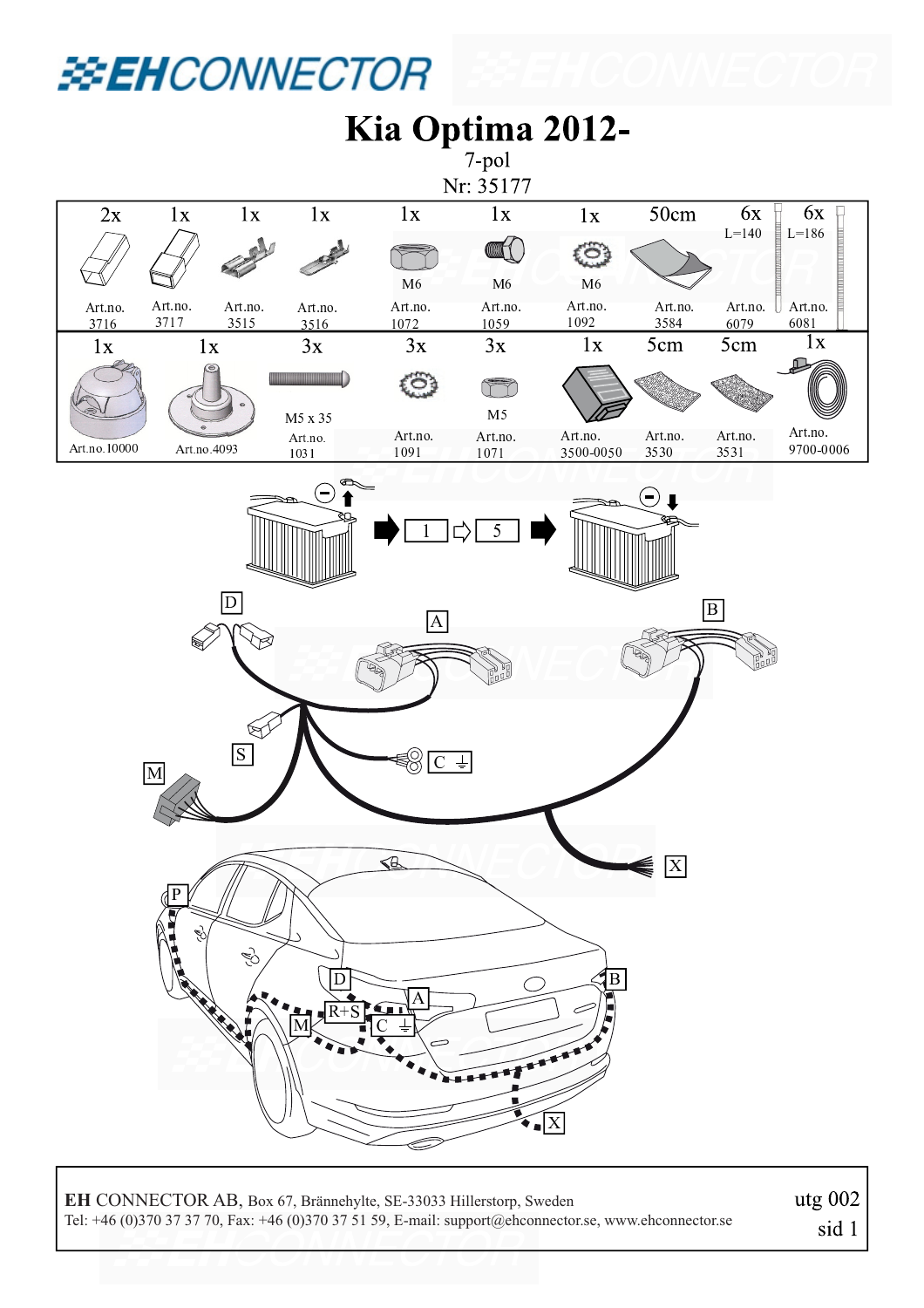## **EXENCONNECTOR**



**EH** CONNECTOR AB, Box 67, Brännehylte, SE-33033 Hillerstorp, Sweden Tel: +46 (0)370 37 37 70, Fax: +46 (0)370 37 51 59, E-mail: support@ehconnector.se, www.ehconnector.se utg 002 sid 1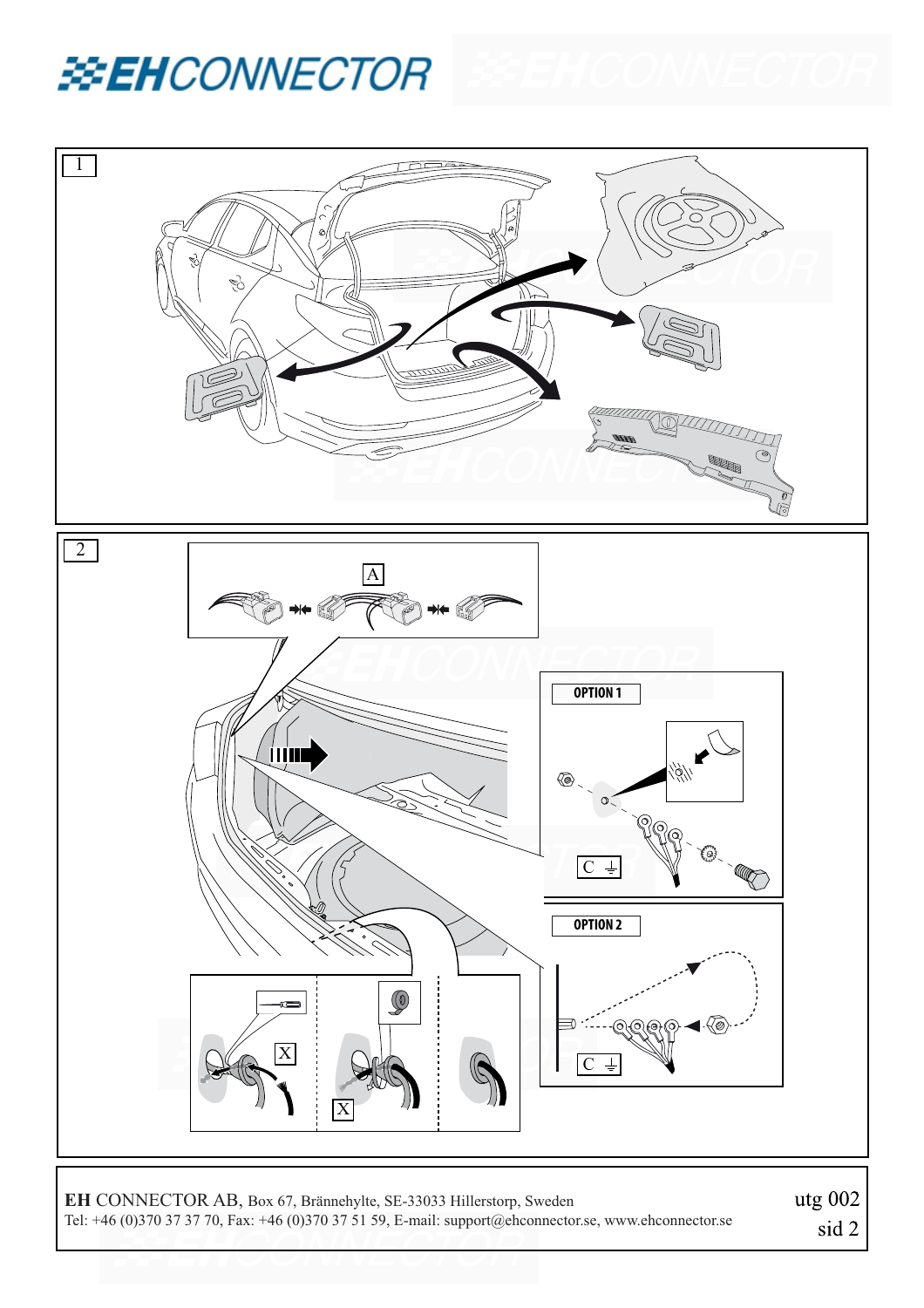



**EH** CONNECTOR AB, Box 67, Brännehylte, SE-33033 Hillerstorp, Sweden Tel: +46 (0)370 37 37 70, Fax: +46 (0)370 37 51 59, E-mail: support@ehconnector.se, www.ehconnector.se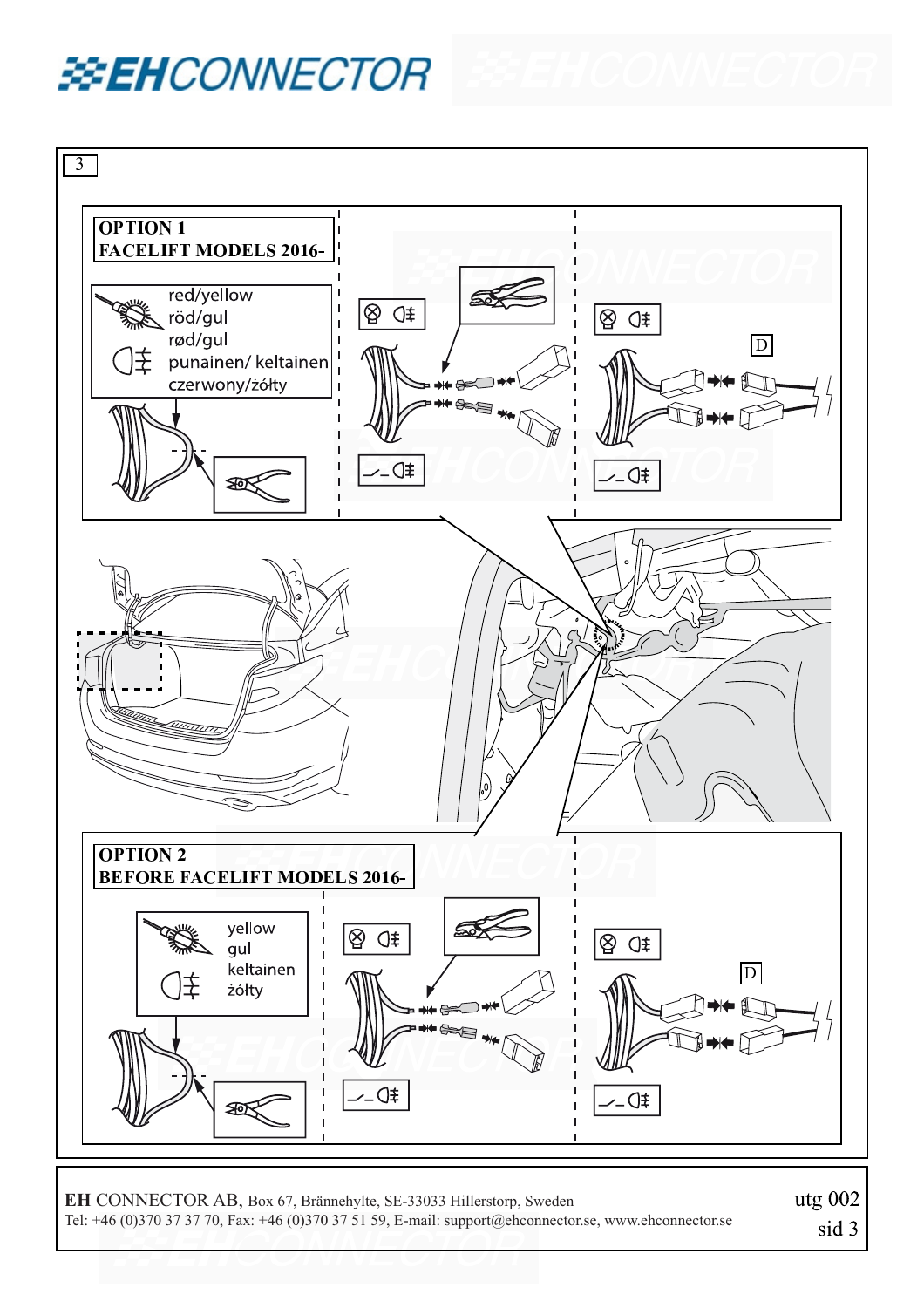## **EXEHCONNECTOR**



**EH** CONNECTOR AB, Box 67, Brännehylte, SE-33033 Hillerstorp, Sweden Tel: +46 (0)370 37 37 70, Fax: +46 (0)370 37 51 59, E-mail: support@ehconnector.se, www.ehconnector.se utg 002 sid 3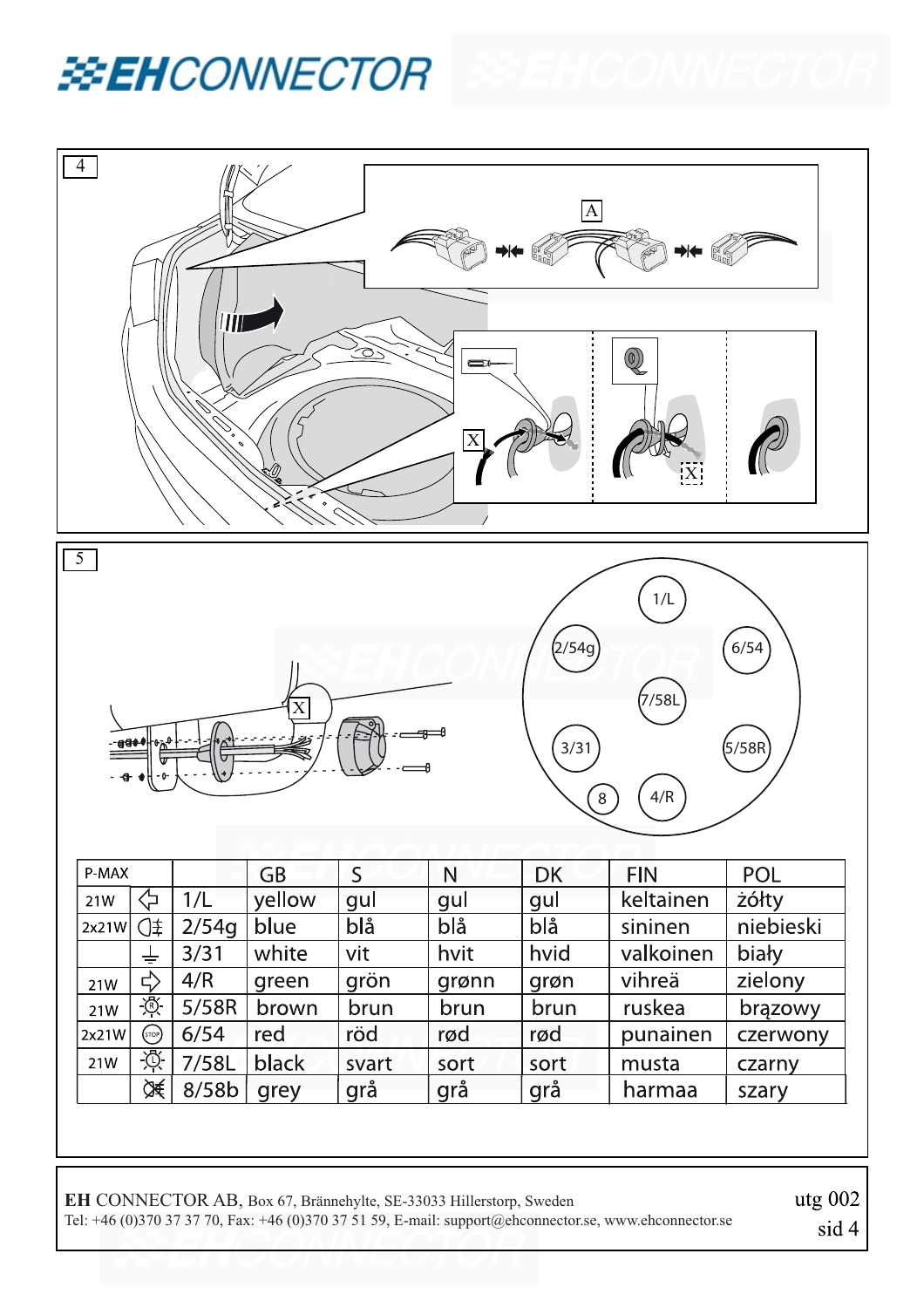





**EH** CONNECTOR AB, Box 67, Brännehylte, SE-33033 Hillerstorp, Sweden Tel: +46 (0)370 37 37 70, Fax: +46 (0)370 37 51 59, E-mail: support@ehconnector.se, www.ehconnector.se